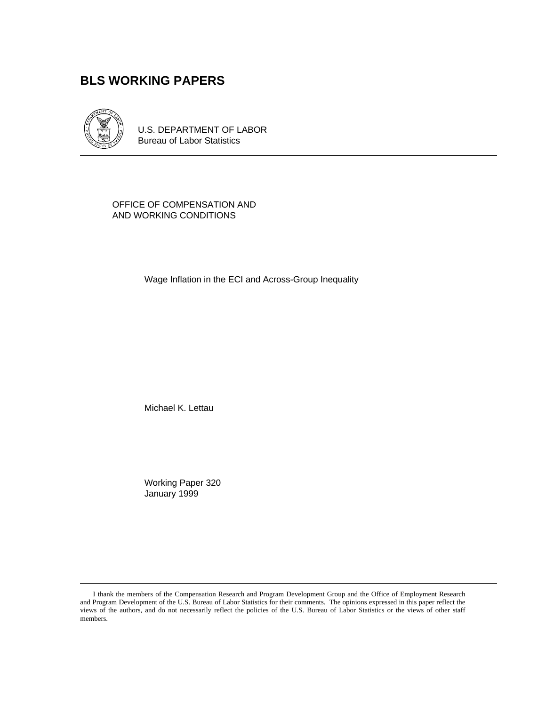# **BLS WORKING PAPERS**



U.S. DEPARTMENT OF LABOR Bureau of Labor Statistics

OFFICE OF COMPENSATION AND AND WORKING CONDITIONS

Wage Inflation in the ECI and Across-Group Inequality

Michael K. Lettau

Working Paper 320 January 1999

I thank the members of the Compensation Research and Program Development Group and the Office of Employment Research and Program Development of the U.S. Bureau of Labor Statistics for their comments. The opinions expressed in this paper reflect the views of the authors, and do not necessarily reflect the policies of the U.S. Bureau of Labor Statistics or the views of other staff members.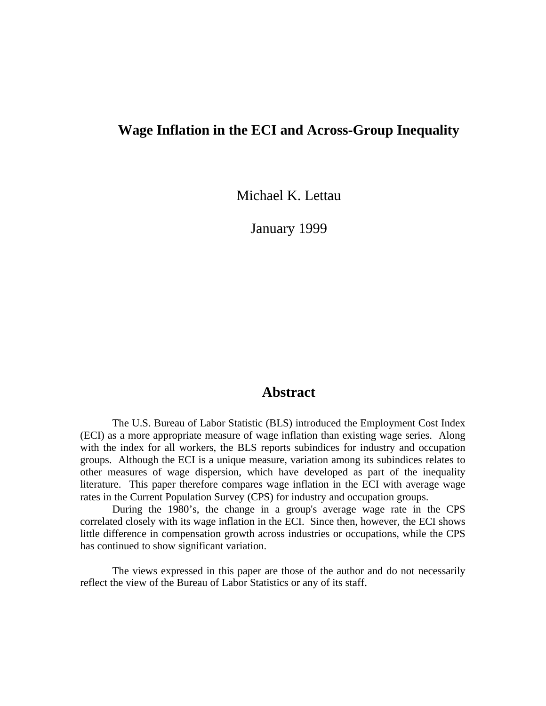## **Wage Inflation in the ECI and Across-Group Inequality**

Michael K. Lettau

January 1999

### **Abstract**

The U.S. Bureau of Labor Statistic (BLS) introduced the Employment Cost Index (ECI) as a more appropriate measure of wage inflation than existing wage series. Along with the index for all workers, the BLS reports subindices for industry and occupation groups. Although the ECI is a unique measure, variation among its subindices relates to other measures of wage dispersion, which have developed as part of the inequality literature. This paper therefore compares wage inflation in the ECI with average wage rates in the Current Population Survey (CPS) for industry and occupation groups.

During the 1980's, the change in a group's average wage rate in the CPS correlated closely with its wage inflation in the ECI. Since then, however, the ECI shows little difference in compensation growth across industries or occupations, while the CPS has continued to show significant variation.

The views expressed in this paper are those of the author and do not necessarily reflect the view of the Bureau of Labor Statistics or any of its staff.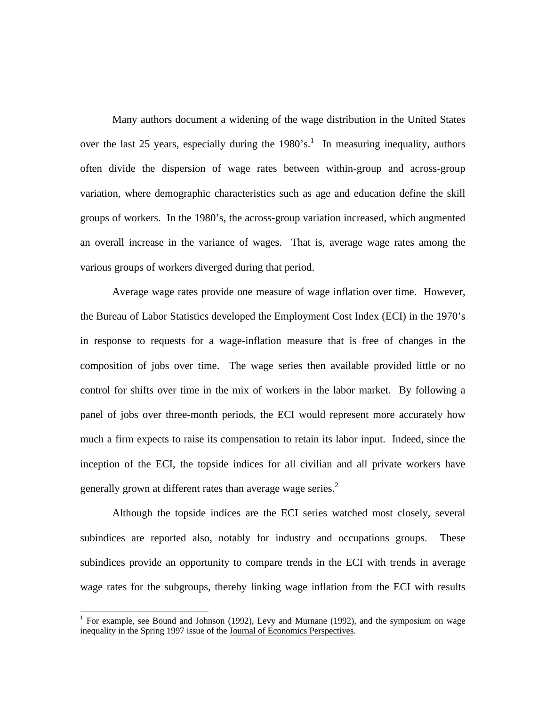Many authors document a widening of the wage distribution in the United States over the last 25 years, especially during the  $1980$ 's.<sup>1</sup> In measuring inequality, authors often divide the dispersion of wage rates between within-group and across-group variation, where demographic characteristics such as age and education define the skill groups of workers. In the 1980's, the across-group variation increased, which augmented an overall increase in the variance of wages. That is, average wage rates among the various groups of workers diverged during that period.

Average wage rates provide one measure of wage inflation over time. However, the Bureau of Labor Statistics developed the Employment Cost Index (ECI) in the 1970's in response to requests for a wage-inflation measure that is free of changes in the composition of jobs over time. The wage series then available provided little or no control for shifts over time in the mix of workers in the labor market. By following a panel of jobs over three-month periods, the ECI would represent more accurately how much a firm expects to raise its compensation to retain its labor input. Indeed, since the inception of the ECI, the topside indices for all civilian and all private workers have generally grown at different rates than average wage series.<sup>2</sup>

Although the topside indices are the ECI series watched most closely, several subindices are reported also, notably for industry and occupations groups. These subindices provide an opportunity to compare trends in the ECI with trends in average wage rates for the subgroups, thereby linking wage inflation from the ECI with results

 $\overline{a}$ 

<sup>&</sup>lt;sup>1</sup> For example, see Bound and Johnson (1992), Levy and Murnane (1992), and the symposium on wage inequality in the Spring 1997 issue of the Journal of Economics Perspectives.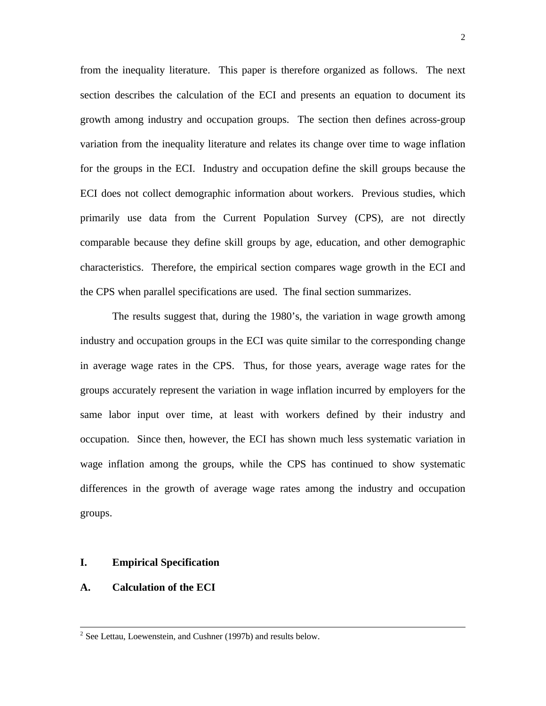from the inequality literature. This paper is therefore organized as follows. The next section describes the calculation of the ECI and presents an equation to document its growth among industry and occupation groups. The section then defines across-group variation from the inequality literature and relates its change over time to wage inflation for the groups in the ECI. Industry and occupation define the skill groups because the ECI does not collect demographic information about workers. Previous studies, which primarily use data from the Current Population Survey (CPS), are not directly comparable because they define skill groups by age, education, and other demographic characteristics. Therefore, the empirical section compares wage growth in the ECI and the CPS when parallel specifications are used. The final section summarizes.

The results suggest that, during the 1980's, the variation in wage growth among industry and occupation groups in the ECI was quite similar to the corresponding change in average wage rates in the CPS. Thus, for those years, average wage rates for the groups accurately represent the variation in wage inflation incurred by employers for the same labor input over time, at least with workers defined by their industry and occupation. Since then, however, the ECI has shown much less systematic variation in wage inflation among the groups, while the CPS has continued to show systematic differences in the growth of average wage rates among the industry and occupation groups.

#### **I. Empirical Specification**

#### **A. Calculation of the ECI**

 $2^2$  See Lettau, Loewenstein, and Cushner (1997b) and results below.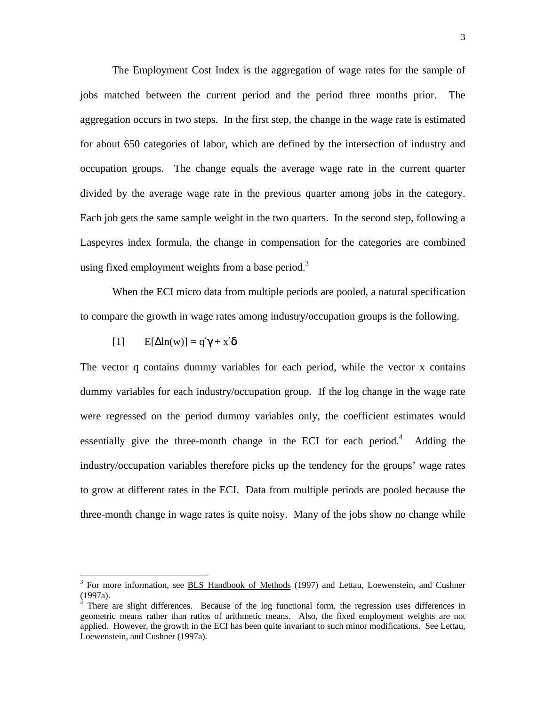The Employment Cost Index is the aggregation of wage rates for the sample of jobs matched between the current period and the period three months prior. The aggregation occurs in two steps. In the first step, the change in the wage rate is estimated for about 650 categories of labor, which are defined by the intersection of industry and occupation groups. The change equals the average wage rate in the current quarter divided by the average wage rate in the previous quarter among jobs in the category. Each job gets the same sample weight in the two quarters. In the second step, following a Laspeyres index formula, the change in compensation for the categories are combined using fixed employment weights from a base period.<sup>3</sup>

When the ECI micro data from multiple periods are pooled, a natural specification to compare the growth in wage rates among industry/occupation groups is the following.

[1] 
$$
E[\Delta \ln(w)] = q'\gamma + x'\delta
$$

The vector q contains dummy variables for each period, while the vector x contains dummy variables for each industry/occupation group. If the log change in the wage rate were regressed on the period dummy variables only, the coefficient estimates would essentially give the three-month change in the ECI for each period.<sup>4</sup> Adding the industry/occupation variables therefore picks up the tendency for the groups' wage rates to grow at different rates in the ECI. Data from multiple periods are pooled because the three-month change in wage rates is quite noisy. Many of the jobs show no change while

<sup>&</sup>lt;sup>3</sup> For more information, see **BLS Handbook of Methods** (1997) and Lettau, Loewenstein, and Cushner (1997a).

<sup>&</sup>lt;sup>4</sup> There are slight differences. Because of the log functional form, the regression uses differences in geometric means rather than ratios of arithmetic means. Also, the fixed employment weights are not applied. However, the growth in the ECI has been quite invariant to such minor modifications. See Lettau, Loewenstein, and Cushner (1997a).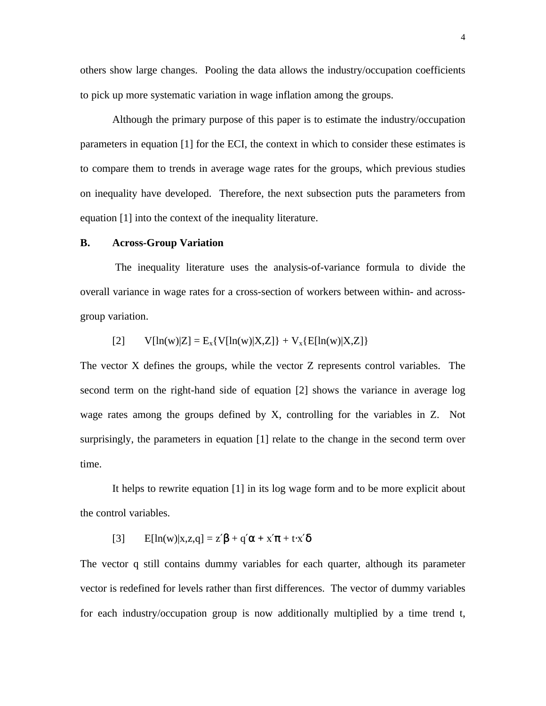others show large changes. Pooling the data allows the industry/occupation coefficients to pick up more systematic variation in wage inflation among the groups.

Although the primary purpose of this paper is to estimate the industry/occupation parameters in equation [1] for the ECI, the context in which to consider these estimates is to compare them to trends in average wage rates for the groups, which previous studies on inequality have developed. Therefore, the next subsection puts the parameters from equation [1] into the context of the inequality literature.

#### **B. Across-Group Variation**

 The inequality literature uses the analysis-of-variance formula to divide the overall variance in wage rates for a cross-section of workers between within- and acrossgroup variation.

[2] 
$$
V[\ln(w)|Z] = E_x\{V[\ln(w)|X,Z]\} + V_x\{E[\ln(w)|X,Z]\}
$$

The vector X defines the groups, while the vector Z represents control variables. The second term on the right-hand side of equation [2] shows the variance in average log wage rates among the groups defined by X, controlling for the variables in Z. Not surprisingly, the parameters in equation [1] relate to the change in the second term over time.

It helps to rewrite equation [1] in its log wage form and to be more explicit about the control variables.

[3] 
$$
E[\ln(w)|x,z,q] = z'\beta + q'\alpha + x'\pi + t\cdot x'\delta
$$

The vector q still contains dummy variables for each quarter, although its parameter vector is redefined for levels rather than first differences. The vector of dummy variables for each industry/occupation group is now additionally multiplied by a time trend t,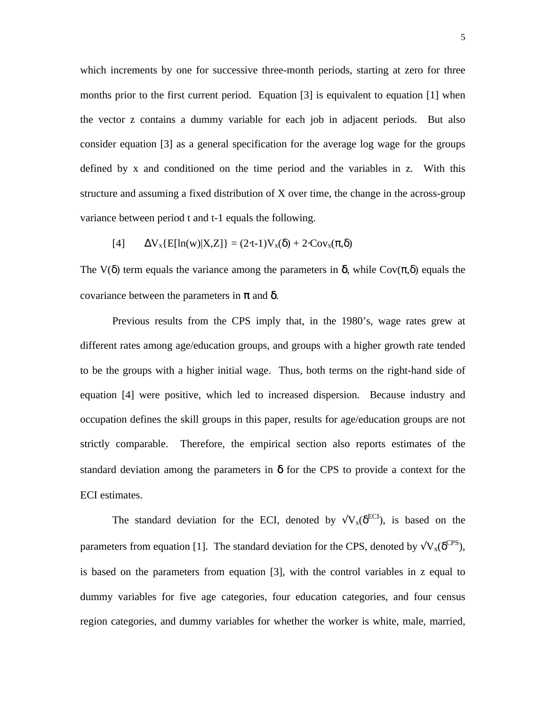which increments by one for successive three-month periods, starting at zero for three months prior to the first current period. Equation [3] is equivalent to equation [1] when the vector z contains a dummy variable for each job in adjacent periods. But also consider equation [3] as a general specification for the average log wage for the groups defined by x and conditioned on the time period and the variables in z. With this structure and assuming a fixed distribution of X over time, the change in the across-group variance between period t and t-1 equals the following.

[4] 
$$
\Delta V_x\{E[\ln(w)|X,Z]\} = (2 \cdot t - 1)V_x(\delta) + 2 \cdot Cov_x(\pi, \delta)
$$

The V( $\delta$ ) term equals the variance among the parameters in  $\delta$ , while Cov( $\pi$ , $\delta$ ) equals the covariance between the parameters in  $\pi$  and  $\delta$ .

Previous results from the CPS imply that, in the 1980's, wage rates grew at different rates among age/education groups, and groups with a higher growth rate tended to be the groups with a higher initial wage. Thus, both terms on the right-hand side of equation [4] were positive, which led to increased dispersion. Because industry and occupation defines the skill groups in this paper, results for age/education groups are not strictly comparable. Therefore, the empirical section also reports estimates of the standard deviation among the parameters in  $\delta$  for the CPS to provide a context for the ECI estimates.

The standard deviation for the ECI, denoted by  $\sqrt{V_x(\delta^{ECI})}$ , is based on the parameters from equation [1]. The standard deviation for the CPS, denoted by  $\sqrt{V_x(\delta^{CPS})}$ , is based on the parameters from equation [3], with the control variables in z equal to dummy variables for five age categories, four education categories, and four census region categories, and dummy variables for whether the worker is white, male, married,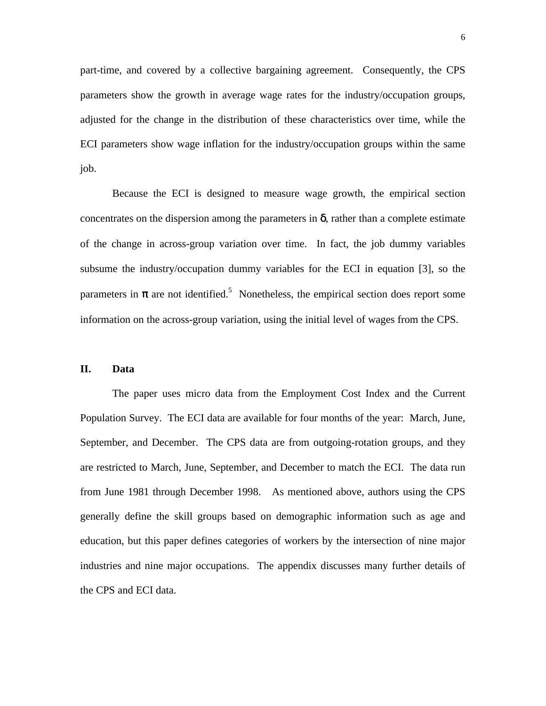part-time, and covered by a collective bargaining agreement. Consequently, the CPS parameters show the growth in average wage rates for the industry/occupation groups, adjusted for the change in the distribution of these characteristics over time, while the ECI parameters show wage inflation for the industry/occupation groups within the same job.

Because the ECI is designed to measure wage growth, the empirical section concentrates on the dispersion among the parameters in  $\delta$ , rather than a complete estimate of the change in across-group variation over time. In fact, the job dummy variables subsume the industry/occupation dummy variables for the ECI in equation [3], so the parameters in  $\pi$  are not identified.<sup>5</sup> Nonetheless, the empirical section does report some information on the across-group variation, using the initial level of wages from the CPS.

#### **II. Data**

The paper uses micro data from the Employment Cost Index and the Current Population Survey. The ECI data are available for four months of the year: March, June, September, and December. The CPS data are from outgoing-rotation groups, and they are restricted to March, June, September, and December to match the ECI. The data run from June 1981 through December 1998. As mentioned above, authors using the CPS generally define the skill groups based on demographic information such as age and education, but this paper defines categories of workers by the intersection of nine major industries and nine major occupations. The appendix discusses many further details of the CPS and ECI data.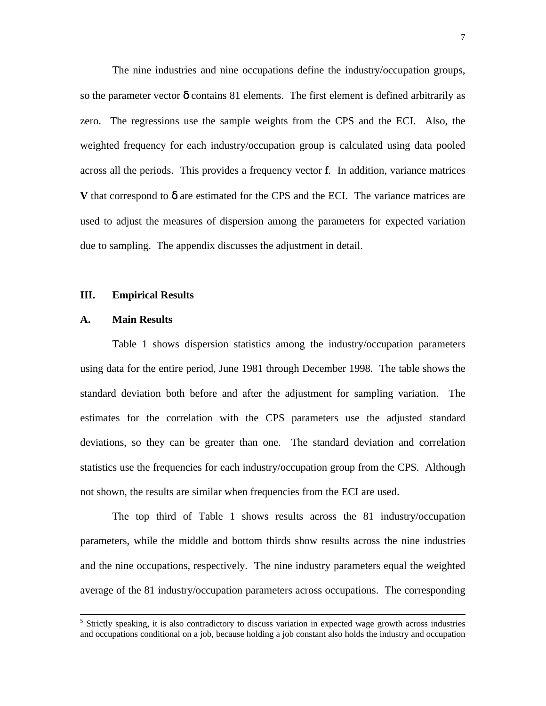The nine industries and nine occupations define the industry/occupation groups, so the parameter vector  $\delta$  contains 81 elements. The first element is defined arbitrarily as zero. The regressions use the sample weights from the CPS and the ECI. Also, the weighted frequency for each industry/occupation group is calculated using data pooled across all the periods. This provides a frequency vector **f**. In addition, variance matrices **V** that correspond to  $\delta$  are estimated for the CPS and the ECI. The variance matrices are used to adjust the measures of dispersion among the parameters for expected variation due to sampling. The appendix discusses the adjustment in detail.

#### **III. Empirical Results**

#### **A. Main Results**

 $\overline{a}$ 

Table 1 shows dispersion statistics among the industry/occupation parameters using data for the entire period, June 1981 through December 1998. The table shows the standard deviation both before and after the adjustment for sampling variation. The estimates for the correlation with the CPS parameters use the adjusted standard deviations, so they can be greater than one. The standard deviation and correlation statistics use the frequencies for each industry/occupation group from the CPS. Although not shown, the results are similar when frequencies from the ECI are used.

The top third of Table 1 shows results across the 81 industry/occupation parameters, while the middle and bottom thirds show results across the nine industries and the nine occupations, respectively. The nine industry parameters equal the weighted average of the 81 industry/occupation parameters across occupations. The corresponding

<sup>&</sup>lt;sup>5</sup> Strictly speaking, it is also contradictory to discuss variation in expected wage growth across industries and occupations conditional on a job, because holding a job constant also holds the industry and occupation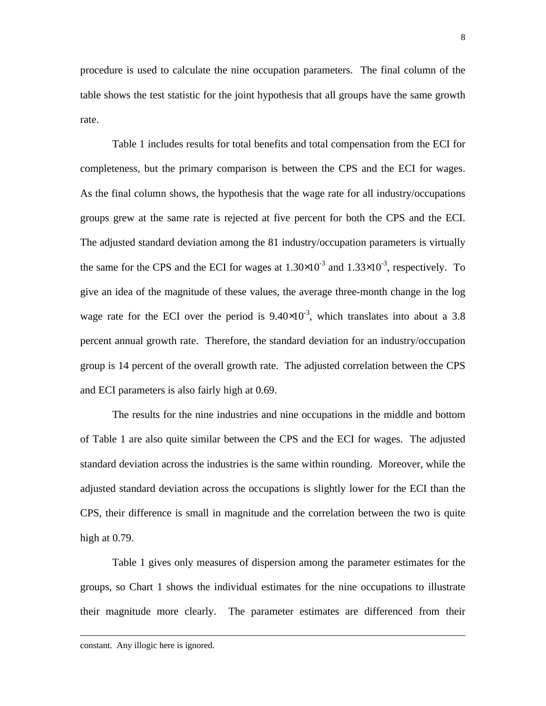procedure is used to calculate the nine occupation parameters. The final column of the table shows the test statistic for the joint hypothesis that all groups have the same growth rate.

Table 1 includes results for total benefits and total compensation from the ECI for completeness, but the primary comparison is between the CPS and the ECI for wages. As the final column shows, the hypothesis that the wage rate for all industry/occupations groups grew at the same rate is rejected at five percent for both the CPS and the ECI. The adjusted standard deviation among the 81 industry/occupation parameters is virtually the same for the CPS and the ECI for wages at  $1.30 \times 10^{-3}$  and  $1.33 \times 10^{-3}$ , respectively. To give an idea of the magnitude of these values, the average three-month change in the log wage rate for the ECI over the period is  $9.40 \times 10^{-3}$ , which translates into about a 3.8 percent annual growth rate. Therefore, the standard deviation for an industry/occupation group is 14 percent of the overall growth rate. The adjusted correlation between the CPS and ECI parameters is also fairly high at 0.69.

The results for the nine industries and nine occupations in the middle and bottom of Table 1 are also quite similar between the CPS and the ECI for wages. The adjusted standard deviation across the industries is the same within rounding. Moreover, while the adjusted standard deviation across the occupations is slightly lower for the ECI than the CPS, their difference is small in magnitude and the correlation between the two is quite high at 0.79.

Table 1 gives only measures of dispersion among the parameter estimates for the groups, so Chart 1 shows the individual estimates for the nine occupations to illustrate their magnitude more clearly. The parameter estimates are differenced from their

-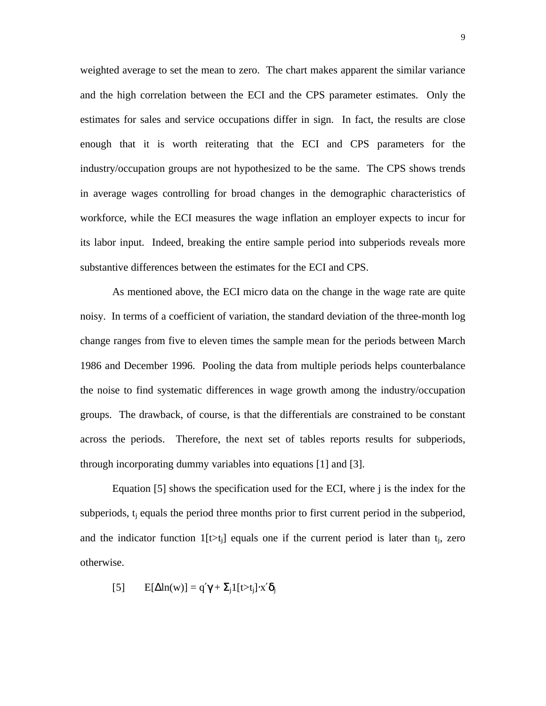weighted average to set the mean to zero. The chart makes apparent the similar variance and the high correlation between the ECI and the CPS parameter estimates. Only the estimates for sales and service occupations differ in sign. In fact, the results are close enough that it is worth reiterating that the ECI and CPS parameters for the industry/occupation groups are not hypothesized to be the same. The CPS shows trends in average wages controlling for broad changes in the demographic characteristics of workforce, while the ECI measures the wage inflation an employer expects to incur for its labor input. Indeed, breaking the entire sample period into subperiods reveals more substantive differences between the estimates for the ECI and CPS.

As mentioned above, the ECI micro data on the change in the wage rate are quite noisy. In terms of a coefficient of variation, the standard deviation of the three-month log change ranges from five to eleven times the sample mean for the periods between March 1986 and December 1996. Pooling the data from multiple periods helps counterbalance the noise to find systematic differences in wage growth among the industry/occupation groups. The drawback, of course, is that the differentials are constrained to be constant across the periods. Therefore, the next set of tables reports results for subperiods, through incorporating dummy variables into equations [1] and [3].

Equation [5] shows the specification used for the ECI, where j is the index for the subperiods,  $t_i$  equals the period three months prior to first current period in the subperiod, and the indicator function  $1[t>t_i]$  equals one if the current period is later than  $t_i$ , zero otherwise.

[5] 
$$
E[\Delta \ln(w)] = q'\gamma + \Sigma_j 1[t > t_j] \cdot x' \delta_j
$$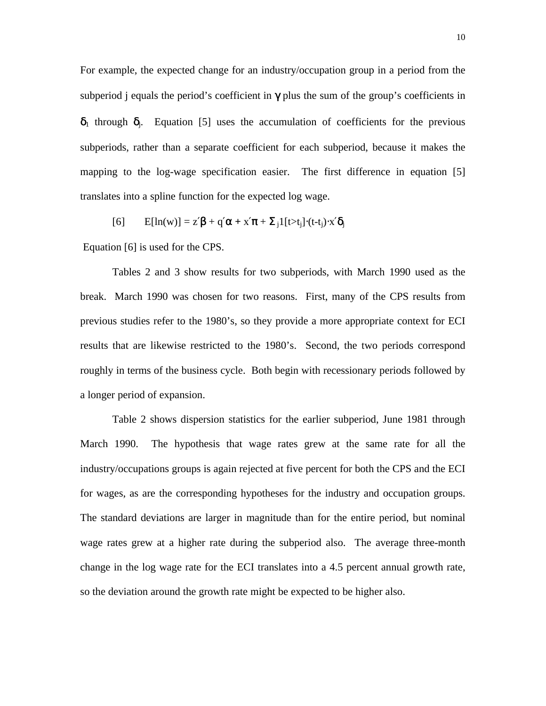For example, the expected change for an industry/occupation group in a period from the subperiod j equals the period's coefficient in  $\gamma$  plus the sum of the group's coefficients in  $\delta_1$  through  $\delta_1$ . Equation [5] uses the accumulation of coefficients for the previous subperiods, rather than a separate coefficient for each subperiod, because it makes the mapping to the log-wage specification easier. The first difference in equation [5] translates into a spline function for the expected log wage.

$$
[6] \qquad E[ln(w)] = z'\beta + q'\alpha + x'\pi + \Sigma_j 1[t \gt t_j] \cdot (t-t_j) \cdot x'\delta_j
$$

Equation [6] is used for the CPS.

Tables 2 and 3 show results for two subperiods, with March 1990 used as the break. March 1990 was chosen for two reasons. First, many of the CPS results from previous studies refer to the 1980's, so they provide a more appropriate context for ECI results that are likewise restricted to the 1980's. Second, the two periods correspond roughly in terms of the business cycle. Both begin with recessionary periods followed by a longer period of expansion.

Table 2 shows dispersion statistics for the earlier subperiod, June 1981 through March 1990. The hypothesis that wage rates grew at the same rate for all the industry/occupations groups is again rejected at five percent for both the CPS and the ECI for wages, as are the corresponding hypotheses for the industry and occupation groups. The standard deviations are larger in magnitude than for the entire period, but nominal wage rates grew at a higher rate during the subperiod also. The average three-month change in the log wage rate for the ECI translates into a 4.5 percent annual growth rate, so the deviation around the growth rate might be expected to be higher also.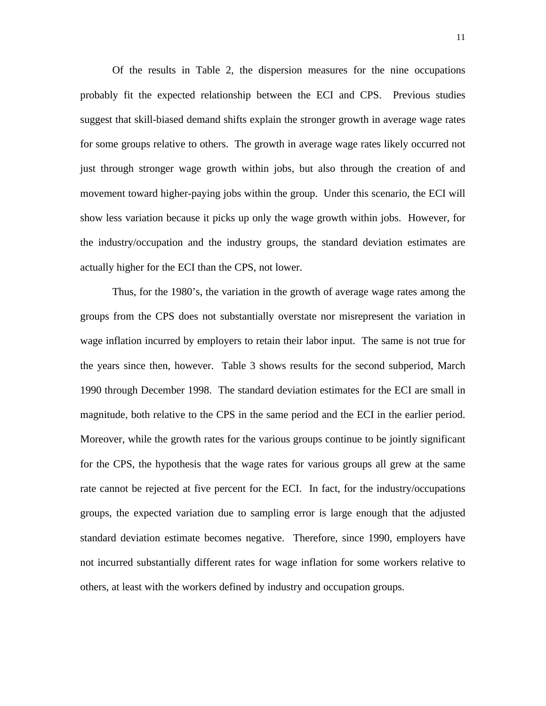Of the results in Table 2, the dispersion measures for the nine occupations probably fit the expected relationship between the ECI and CPS. Previous studies suggest that skill-biased demand shifts explain the stronger growth in average wage rates for some groups relative to others. The growth in average wage rates likely occurred not just through stronger wage growth within jobs, but also through the creation of and movement toward higher-paying jobs within the group. Under this scenario, the ECI will show less variation because it picks up only the wage growth within jobs. However, for the industry/occupation and the industry groups, the standard deviation estimates are actually higher for the ECI than the CPS, not lower.

Thus, for the 1980's, the variation in the growth of average wage rates among the groups from the CPS does not substantially overstate nor misrepresent the variation in wage inflation incurred by employers to retain their labor input. The same is not true for the years since then, however. Table 3 shows results for the second subperiod, March 1990 through December 1998. The standard deviation estimates for the ECI are small in magnitude, both relative to the CPS in the same period and the ECI in the earlier period. Moreover, while the growth rates for the various groups continue to be jointly significant for the CPS, the hypothesis that the wage rates for various groups all grew at the same rate cannot be rejected at five percent for the ECI. In fact, for the industry/occupations groups, the expected variation due to sampling error is large enough that the adjusted standard deviation estimate becomes negative. Therefore, since 1990, employers have not incurred substantially different rates for wage inflation for some workers relative to others, at least with the workers defined by industry and occupation groups.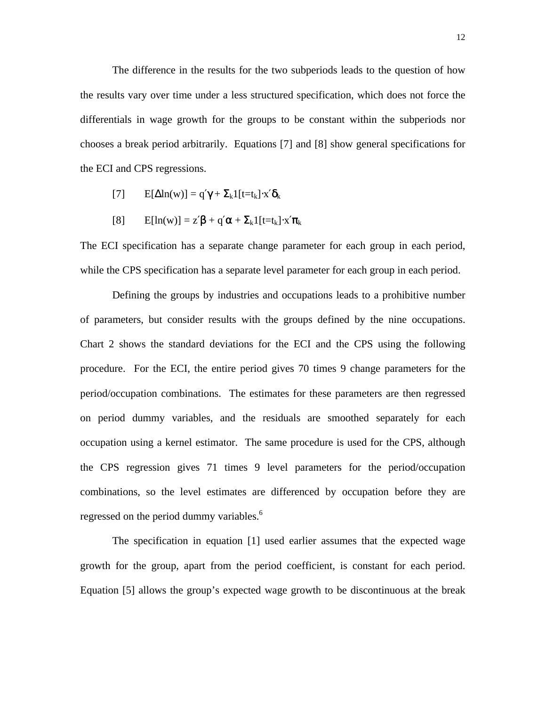The difference in the results for the two subperiods leads to the question of how the results vary over time under a less structured specification, which does not force the differentials in wage growth for the groups to be constant within the subperiods nor chooses a break period arbitrarily. Equations [7] and [8] show general specifications for the ECI and CPS regressions.

- [7]  $E[\Delta \ln(w)] = q'\gamma + \sum_k 1[t=t_k]\cdot x'\delta_k$
- [8]  $E[ln(w)] = z'\beta + q'\alpha + \sum_k 1[t=t_k]\cdot x'\pi_k$

The ECI specification has a separate change parameter for each group in each period, while the CPS specification has a separate level parameter for each group in each period.

Defining the groups by industries and occupations leads to a prohibitive number of parameters, but consider results with the groups defined by the nine occupations. Chart 2 shows the standard deviations for the ECI and the CPS using the following procedure. For the ECI, the entire period gives 70 times 9 change parameters for the period/occupation combinations. The estimates for these parameters are then regressed on period dummy variables, and the residuals are smoothed separately for each occupation using a kernel estimator. The same procedure is used for the CPS, although the CPS regression gives 71 times 9 level parameters for the period/occupation combinations, so the level estimates are differenced by occupation before they are regressed on the period dummy variables.<sup>6</sup>

The specification in equation [1] used earlier assumes that the expected wage growth for the group, apart from the period coefficient, is constant for each period. Equation [5] allows the group's expected wage growth to be discontinuous at the break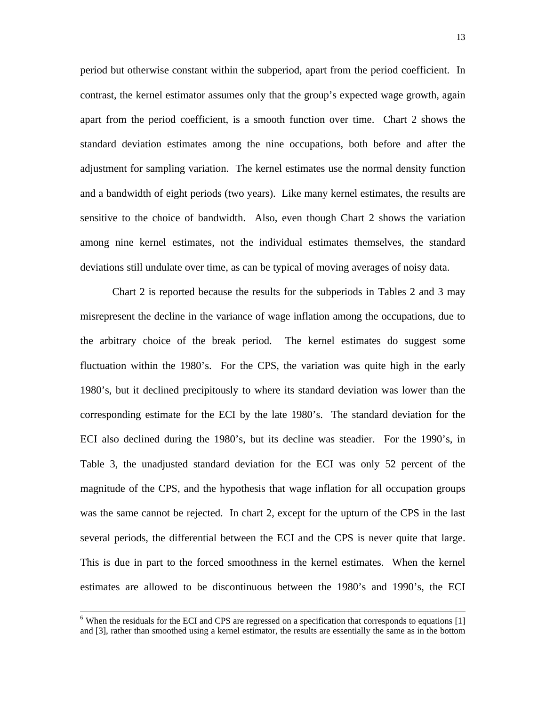period but otherwise constant within the subperiod, apart from the period coefficient. In contrast, the kernel estimator assumes only that the group's expected wage growth, again apart from the period coefficient, is a smooth function over time. Chart 2 shows the standard deviation estimates among the nine occupations, both before and after the adjustment for sampling variation. The kernel estimates use the normal density function and a bandwidth of eight periods (two years). Like many kernel estimates, the results are sensitive to the choice of bandwidth. Also, even though Chart 2 shows the variation among nine kernel estimates, not the individual estimates themselves, the standard deviations still undulate over time, as can be typical of moving averages of noisy data.

Chart 2 is reported because the results for the subperiods in Tables 2 and 3 may misrepresent the decline in the variance of wage inflation among the occupations, due to the arbitrary choice of the break period. The kernel estimates do suggest some fluctuation within the 1980's. For the CPS, the variation was quite high in the early 1980's, but it declined precipitously to where its standard deviation was lower than the corresponding estimate for the ECI by the late 1980's. The standard deviation for the ECI also declined during the 1980's, but its decline was steadier. For the 1990's, in Table 3, the unadjusted standard deviation for the ECI was only 52 percent of the magnitude of the CPS, and the hypothesis that wage inflation for all occupation groups was the same cannot be rejected. In chart 2, except for the upturn of the CPS in the last several periods, the differential between the ECI and the CPS is never quite that large. This is due in part to the forced smoothness in the kernel estimates. When the kernel estimates are allowed to be discontinuous between the 1980's and 1990's, the ECI

 $\overline{a}$ 

<sup>&</sup>lt;sup>6</sup> When the residuals for the ECI and CPS are regressed on a specification that corresponds to equations [1] and [3], rather than smoothed using a kernel estimator, the results are essentially the same as in the bottom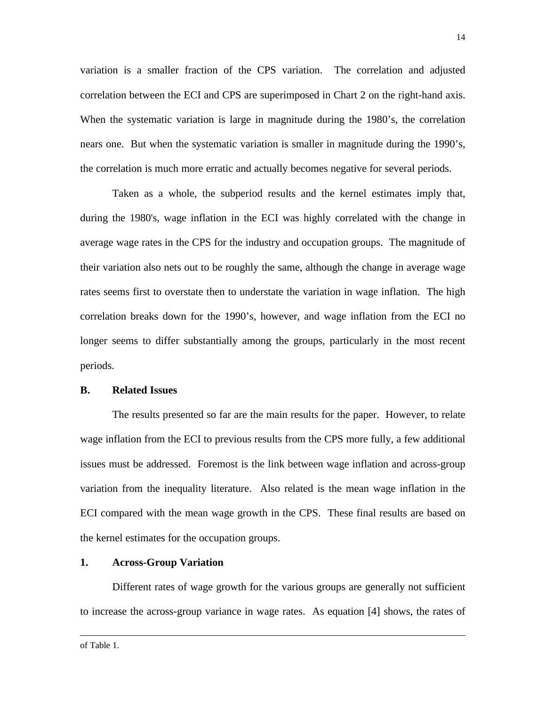variation is a smaller fraction of the CPS variation. The correlation and adjusted correlation between the ECI and CPS are superimposed in Chart 2 on the right-hand axis. When the systematic variation is large in magnitude during the 1980's, the correlation nears one. But when the systematic variation is smaller in magnitude during the 1990's, the correlation is much more erratic and actually becomes negative for several periods.

Taken as a whole, the subperiod results and the kernel estimates imply that, during the 1980's, wage inflation in the ECI was highly correlated with the change in average wage rates in the CPS for the industry and occupation groups. The magnitude of their variation also nets out to be roughly the same, although the change in average wage rates seems first to overstate then to understate the variation in wage inflation. The high correlation breaks down for the 1990's, however, and wage inflation from the ECI no longer seems to differ substantially among the groups, particularly in the most recent periods.

#### **B. Related Issues**

The results presented so far are the main results for the paper. However, to relate wage inflation from the ECI to previous results from the CPS more fully, a few additional issues must be addressed. Foremost is the link between wage inflation and across-group variation from the inequality literature. Also related is the mean wage inflation in the ECI compared with the mean wage growth in the CPS. These final results are based on the kernel estimates for the occupation groups.

#### **1. Across-Group Variation**

Different rates of wage growth for the various groups are generally not sufficient to increase the across-group variance in wage rates. As equation [4] shows, the rates of

 $\overline{a}$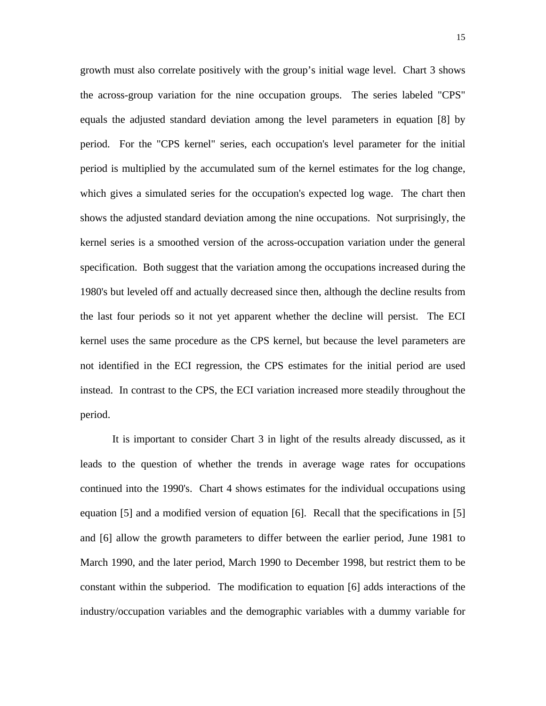growth must also correlate positively with the group's initial wage level. Chart 3 shows the across-group variation for the nine occupation groups. The series labeled "CPS" equals the adjusted standard deviation among the level parameters in equation [8] by period. For the "CPS kernel" series, each occupation's level parameter for the initial period is multiplied by the accumulated sum of the kernel estimates for the log change, which gives a simulated series for the occupation's expected log wage. The chart then shows the adjusted standard deviation among the nine occupations. Not surprisingly, the kernel series is a smoothed version of the across-occupation variation under the general specification. Both suggest that the variation among the occupations increased during the 1980's but leveled off and actually decreased since then, although the decline results from the last four periods so it not yet apparent whether the decline will persist. The ECI kernel uses the same procedure as the CPS kernel, but because the level parameters are not identified in the ECI regression, the CPS estimates for the initial period are used instead. In contrast to the CPS, the ECI variation increased more steadily throughout the period.

It is important to consider Chart 3 in light of the results already discussed, as it leads to the question of whether the trends in average wage rates for occupations continued into the 1990's. Chart 4 shows estimates for the individual occupations using equation [5] and a modified version of equation [6]. Recall that the specifications in [5] and [6] allow the growth parameters to differ between the earlier period, June 1981 to March 1990, and the later period, March 1990 to December 1998, but restrict them to be constant within the subperiod. The modification to equation [6] adds interactions of the industry/occupation variables and the demographic variables with a dummy variable for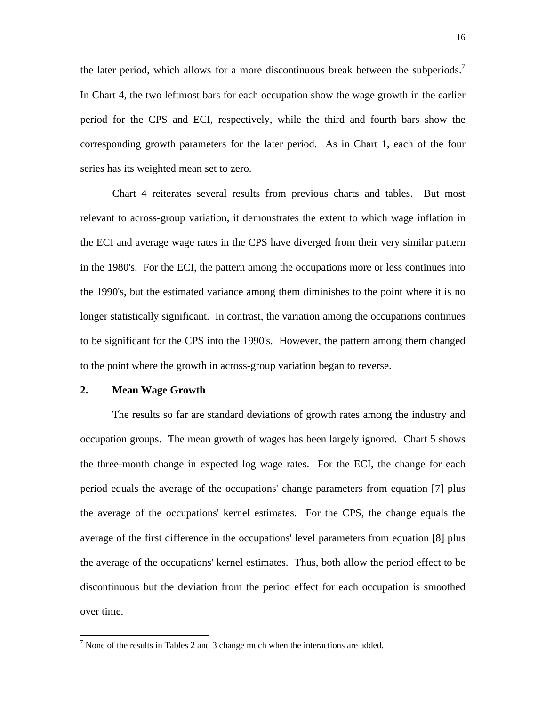the later period, which allows for a more discontinuous break between the subperiods.<sup>7</sup> In Chart 4, the two leftmost bars for each occupation show the wage growth in the earlier period for the CPS and ECI, respectively, while the third and fourth bars show the corresponding growth parameters for the later period. As in Chart 1, each of the four series has its weighted mean set to zero.

Chart 4 reiterates several results from previous charts and tables. But most relevant to across-group variation, it demonstrates the extent to which wage inflation in the ECI and average wage rates in the CPS have diverged from their very similar pattern in the 1980's. For the ECI, the pattern among the occupations more or less continues into the 1990's, but the estimated variance among them diminishes to the point where it is no longer statistically significant. In contrast, the variation among the occupations continues to be significant for the CPS into the 1990's. However, the pattern among them changed to the point where the growth in across-group variation began to reverse.

#### **2. Mean Wage Growth**

 $\overline{a}$ 

The results so far are standard deviations of growth rates among the industry and occupation groups. The mean growth of wages has been largely ignored. Chart 5 shows the three-month change in expected log wage rates. For the ECI, the change for each period equals the average of the occupations' change parameters from equation [7] plus the average of the occupations' kernel estimates. For the CPS, the change equals the average of the first difference in the occupations' level parameters from equation [8] plus the average of the occupations' kernel estimates. Thus, both allow the period effect to be discontinuous but the deviation from the period effect for each occupation is smoothed over time.

 $<sup>7</sup>$  None of the results in Tables 2 and 3 change much when the interactions are added.</sup>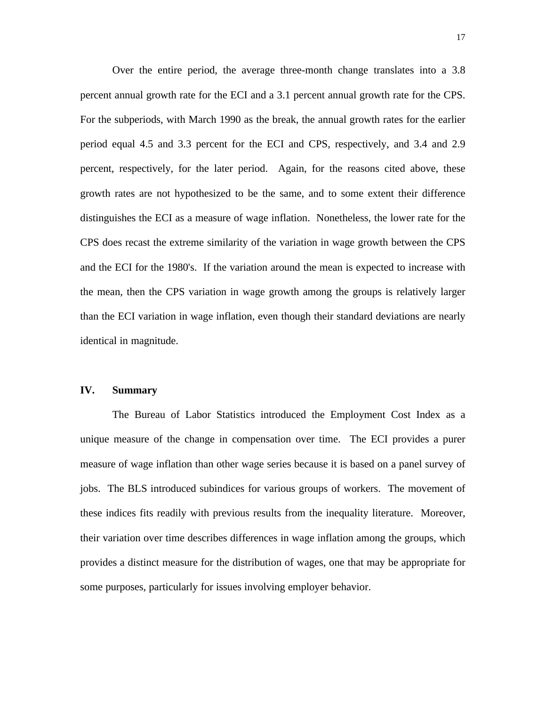Over the entire period, the average three-month change translates into a 3.8 percent annual growth rate for the ECI and a 3.1 percent annual growth rate for the CPS. For the subperiods, with March 1990 as the break, the annual growth rates for the earlier period equal 4.5 and 3.3 percent for the ECI and CPS, respectively, and 3.4 and 2.9 percent, respectively, for the later period. Again, for the reasons cited above, these growth rates are not hypothesized to be the same, and to some extent their difference distinguishes the ECI as a measure of wage inflation. Nonetheless, the lower rate for the CPS does recast the extreme similarity of the variation in wage growth between the CPS and the ECI for the 1980's. If the variation around the mean is expected to increase with the mean, then the CPS variation in wage growth among the groups is relatively larger than the ECI variation in wage inflation, even though their standard deviations are nearly identical in magnitude.

#### **IV. Summary**

The Bureau of Labor Statistics introduced the Employment Cost Index as a unique measure of the change in compensation over time. The ECI provides a purer measure of wage inflation than other wage series because it is based on a panel survey of jobs. The BLS introduced subindices for various groups of workers. The movement of these indices fits readily with previous results from the inequality literature. Moreover, their variation over time describes differences in wage inflation among the groups, which provides a distinct measure for the distribution of wages, one that may be appropriate for some purposes, particularly for issues involving employer behavior.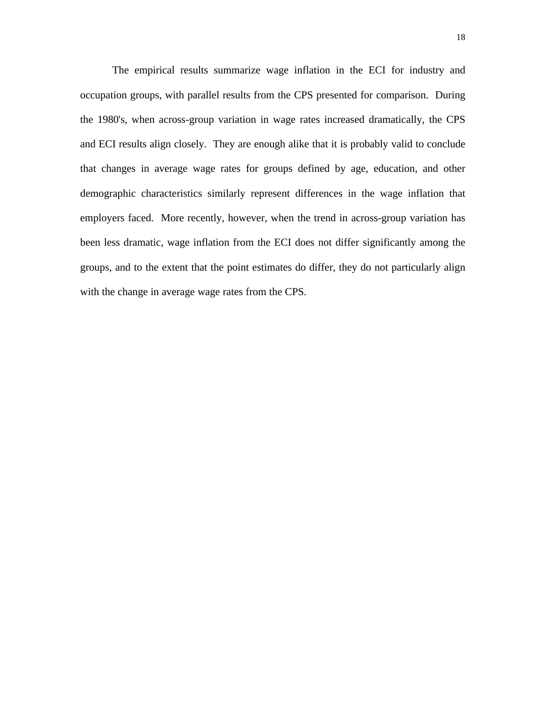The empirical results summarize wage inflation in the ECI for industry and occupation groups, with parallel results from the CPS presented for comparison. During the 1980's, when across-group variation in wage rates increased dramatically, the CPS and ECI results align closely. They are enough alike that it is probably valid to conclude that changes in average wage rates for groups defined by age, education, and other demographic characteristics similarly represent differences in the wage inflation that employers faced. More recently, however, when the trend in across-group variation has been less dramatic, wage inflation from the ECI does not differ significantly among the groups, and to the extent that the point estimates do differ, they do not particularly align with the change in average wage rates from the CPS.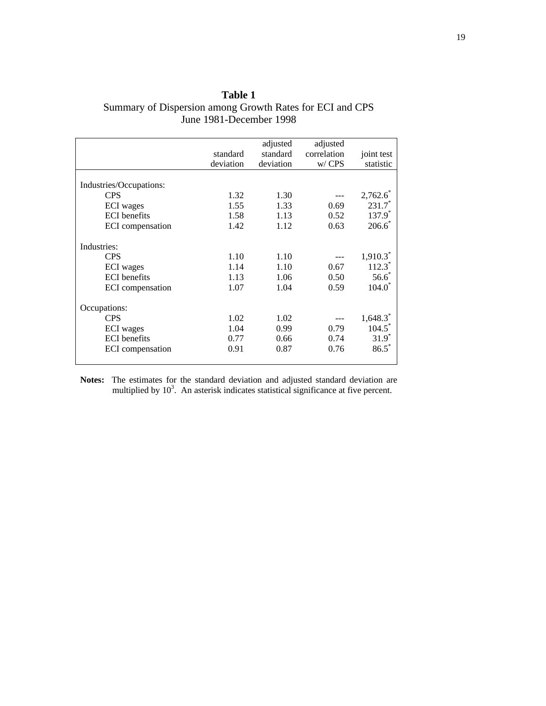| Table 1                                                  |
|----------------------------------------------------------|
| Summary of Dispersion among Growth Rates for ECI and CPS |
| June 1981-December 1998                                  |

|                         | standard<br>deviation | adjusted<br>standard<br>deviation | adjusted<br>correlation<br>w/CPS | joint test<br>statistic |
|-------------------------|-----------------------|-----------------------------------|----------------------------------|-------------------------|
| Industries/Occupations: |                       |                                   |                                  |                         |
| <b>CPS</b>              | 1.32                  | 1.30                              |                                  | 2,762.6                 |
| <b>ECI</b> wages        | 1.55                  | 1.33                              | 0.69                             | $231.7*$                |
| <b>ECI</b> benefits     | 1.58                  | 1.13                              | 0.52                             | $137.9*$                |
| ECI compensation        | 1.42                  | 1.12                              | 0.63                             | $206.6^*$               |
| Industries:             |                       |                                   |                                  |                         |
| <b>CPS</b>              | 1.10                  | 1.10                              |                                  | $1,910.3^*$             |
| ECI wages               | 1.14                  | 1.10                              | 0.67                             | $112.3^*$               |
| <b>ECI</b> benefits     | 1.13                  | 1.06                              | 0.50                             | $56.6*$                 |
| ECI compensation        | 1.07                  | 1.04                              | 0.59                             | $104.0^*$               |
| Occupations:            |                       |                                   |                                  |                         |
| <b>CPS</b>              | 1.02                  | 1.02                              |                                  | $1,648.3$ <sup>*</sup>  |
| <b>ECI</b> wages        | 1.04                  | 0.99                              | 0.79                             | $104.5^{\degree}$       |
| <b>ECI</b> benefits     | 0.77                  | 0.66                              | 0.74                             | $31.9^*$                |
| ECI compensation        | 0.91                  | 0.87                              | 0.76                             | $86.5*$                 |

**Notes:** The estimates for the standard deviation and adjusted standard deviation are multiplied by  $10<sup>3</sup>$ . An asterisk indicates statistical significance at five percent.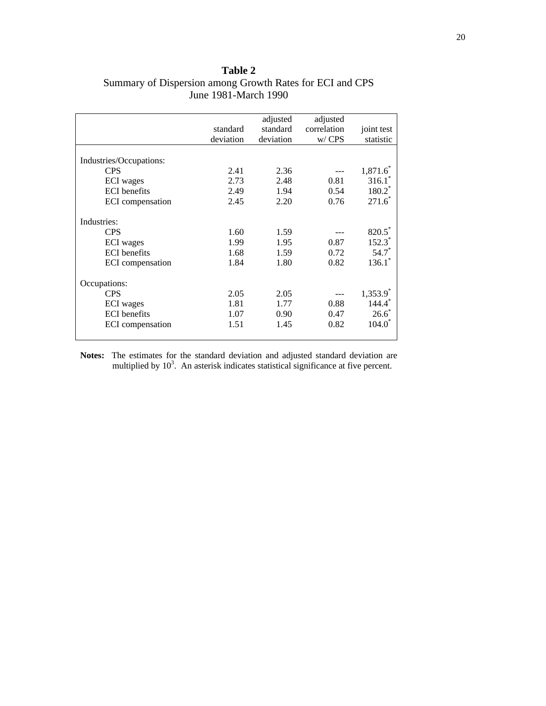| <b>Table 2</b>                                           |
|----------------------------------------------------------|
| Summary of Dispersion among Growth Rates for ECI and CPS |
| June 1981-March 1990                                     |

|                         |           | adjusted  | adjusted    |                        |
|-------------------------|-----------|-----------|-------------|------------------------|
|                         | standard  | standard  | correlation | joint test             |
|                         | deviation | deviation | w/CPS       | statistic              |
|                         |           |           |             |                        |
| Industries/Occupations: |           |           |             |                        |
| <b>CPS</b>              | 2.41      | 2.36      |             | $1,871.6^*$            |
| <b>ECI</b> wages        | 2.73      | 2.48      | 0.81        | 316.1                  |
| <b>ECI</b> benefits     | 2.49      | 1.94      | 0.54        | $180.2^*$              |
| ECI compensation        | 2.45      | 2.20      | 0.76        | $271.6^*$              |
| Industries:             |           |           |             |                        |
| <b>CPS</b>              | 1.60      | 1.59      |             | 820.5                  |
| <b>ECI</b> wages        | 1.99      | 1.95      | 0.87        | $152.3^*$              |
| <b>ECI</b> benefits     | 1.68      | 1.59      | 0.72        | $54.7*$                |
| ECI compensation        | 1.84      | 1.80      | 0.82        | $136.1^*$              |
| Occupations:            |           |           |             |                        |
| <b>CPS</b>              | 2.05      | 2.05      |             | $1,353.9$ <sup>*</sup> |
| <b>ECI</b> wages        | 1.81      | 1.77      | 0.88        | 144.4                  |
| <b>ECI</b> benefits     | 1.07      | 0.90      | 0.47        | $26.6^*$               |
| ECI compensation        | 1.51      | 1.45      | 0.82        | $104.0^{\circ}$        |
|                         |           |           |             |                        |

**Notes:** The estimates for the standard deviation and adjusted standard deviation are multiplied by  $10<sup>3</sup>$ . An asterisk indicates statistical significance at five percent.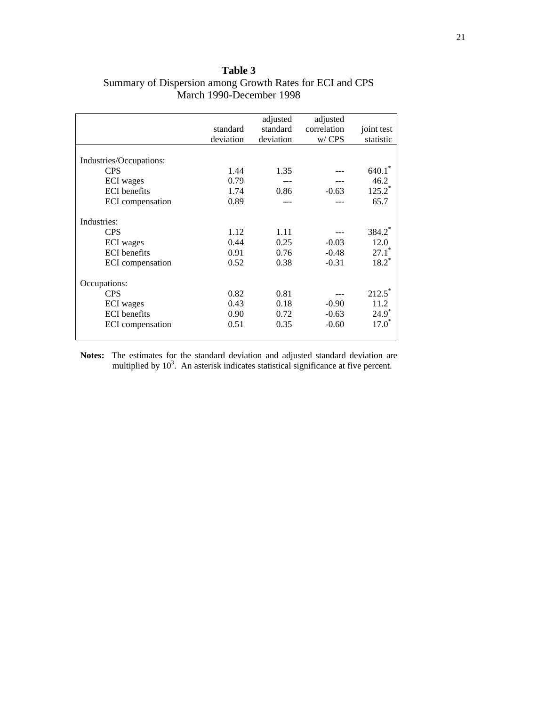|                         |           | adjusted  | adjusted    |                    |
|-------------------------|-----------|-----------|-------------|--------------------|
|                         | standard  | standard  | correlation | joint test         |
|                         | deviation | deviation | w/ CPS      | statistic          |
|                         |           |           |             |                    |
| Industries/Occupations: |           |           |             |                    |
| <b>CPS</b>              | 1.44      | 1.35      |             | 640.1              |
| <b>ECI</b> wages        | 0.79      |           |             | 46.2               |
| <b>ECI</b> benefits     | 1.74      | 0.86      | $-0.63$     | $125.2^*$          |
| ECI compensation        | 0.89      |           |             | 65.7               |
|                         |           |           |             |                    |
| Industries:             |           |           |             |                    |
| <b>CPS</b>              | 1.12      | 1.11      |             | 384.2 <sup>*</sup> |
| ECI wages               | 0.44      | 0.25      | $-0.03$     | 12.0               |
| <b>ECI</b> benefits     | 0.91      | 0.76      | $-0.48$     | $27.1^*$           |
| ECI compensation        | 0.52      | 0.38      | $-0.31$     | $18.2^*$           |
|                         |           |           |             |                    |
| Occupations:            |           |           |             |                    |
| <b>CPS</b>              | 0.82      | 0.81      |             | 212.5              |
| <b>ECI</b> wages        | 0.43      | 0.18      | $-0.90$     | 11.2               |
| <b>ECI</b> benefits     | 0.90      | 0.72      | $-0.63$     | $24.9^*$           |
| ECI compensation        | 0.51      | 0.35      | $-0.60$     | $17.0^*$           |
|                         |           |           |             |                    |

### **Table 3** Summary of Dispersion among Growth Rates for ECI and CPS March 1990-December 1998

**Notes:** The estimates for the standard deviation and adjusted standard deviation are multiplied by  $10<sup>3</sup>$ . An asterisk indicates statistical significance at five percent.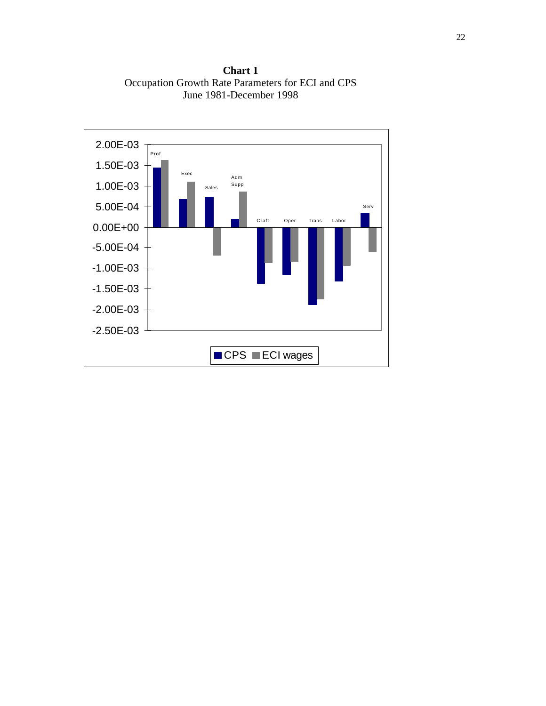**Chart 1** Occupation Growth Rate Parameters for ECI and CPS June 1981-December 1998

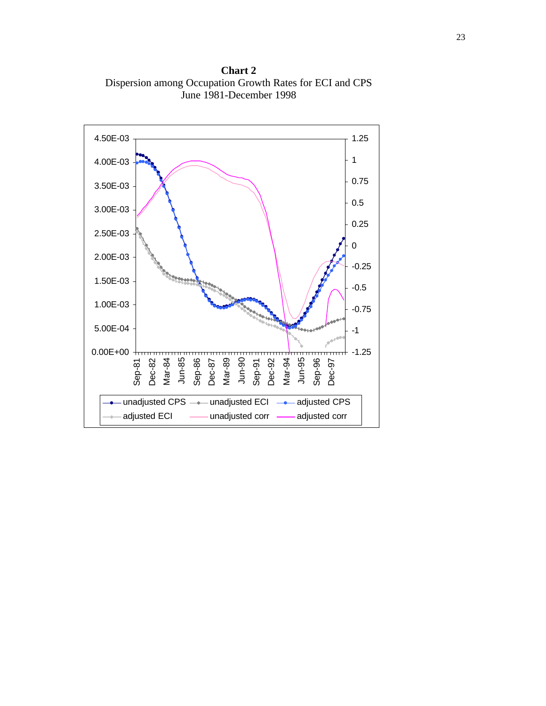**Chart 2** Dispersion among Occupation Growth Rates for ECI and CPS June 1981-December 1998

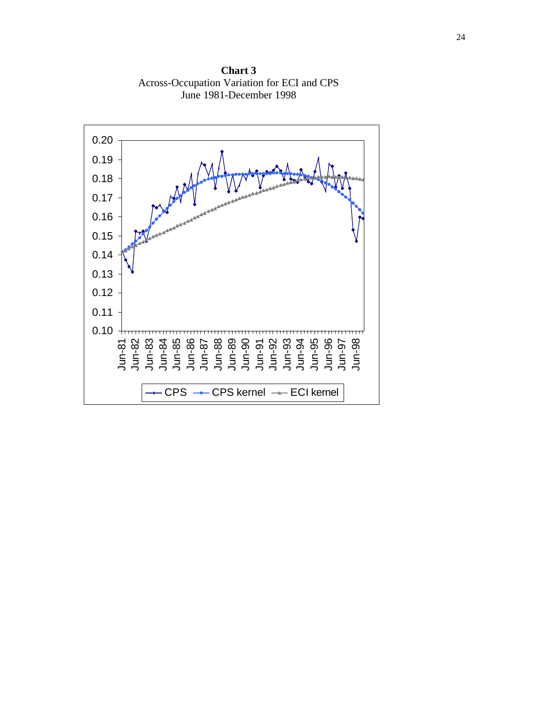0.10 0.11 0.12 0.13 0.14 0.15 0.16 0.17 0.18 0.19 0.20 Jun-81 Jun-82 Jun-83 Jun-84 Jun-85 Jun-86 Jun-87 Jun-88 Jun-89 Jun-90 Jun-91 Jun-92 Jun-93 Jun-94 Jun-95 Jun-96 Jun-97 Jun-98  $CPS$   $\rightarrow$   $CPS$  kernel  $\rightarrow$  ECI kernel

**Chart 3** Across-Occupation Variation for ECI and CPS June 1981-December 1998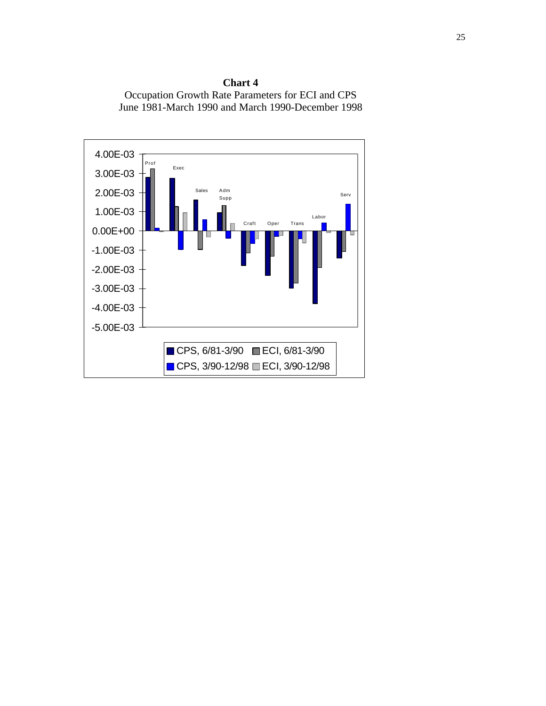

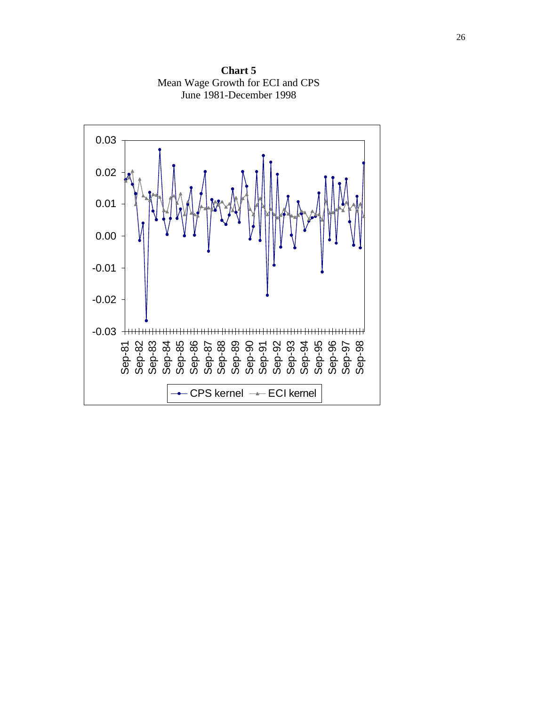

**Chart 5** Mean Wage Growth for ECI and CPS June 1981-December 1998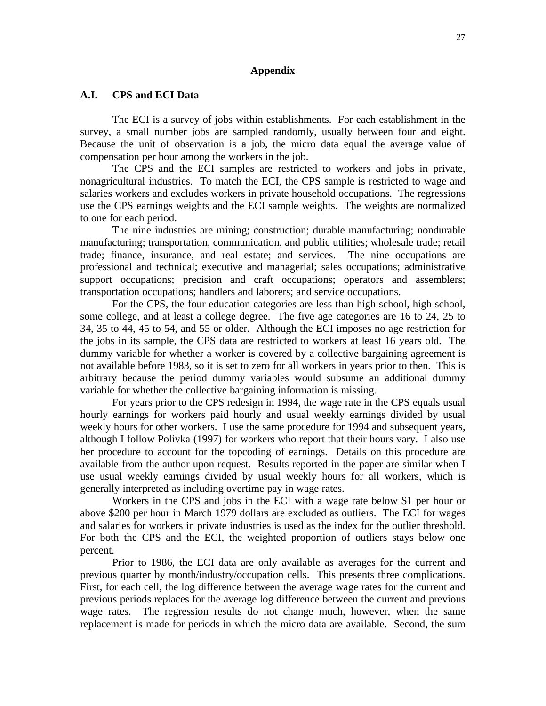#### **Appendix**

#### **A.I. CPS and ECI Data**

The ECI is a survey of jobs within establishments. For each establishment in the survey, a small number jobs are sampled randomly, usually between four and eight. Because the unit of observation is a job, the micro data equal the average value of compensation per hour among the workers in the job.

The CPS and the ECI samples are restricted to workers and jobs in private, nonagricultural industries. To match the ECI, the CPS sample is restricted to wage and salaries workers and excludes workers in private household occupations. The regressions use the CPS earnings weights and the ECI sample weights. The weights are normalized to one for each period.

The nine industries are mining; construction; durable manufacturing; nondurable manufacturing; transportation, communication, and public utilities; wholesale trade; retail trade; finance, insurance, and real estate; and services. The nine occupations are professional and technical; executive and managerial; sales occupations; administrative support occupations; precision and craft occupations; operators and assemblers; transportation occupations; handlers and laborers; and service occupations.

For the CPS, the four education categories are less than high school, high school, some college, and at least a college degree. The five age categories are 16 to 24, 25 to 34, 35 to 44, 45 to 54, and 55 or older. Although the ECI imposes no age restriction for the jobs in its sample, the CPS data are restricted to workers at least 16 years old. The dummy variable for whether a worker is covered by a collective bargaining agreement is not available before 1983, so it is set to zero for all workers in years prior to then. This is arbitrary because the period dummy variables would subsume an additional dummy variable for whether the collective bargaining information is missing.

For years prior to the CPS redesign in 1994, the wage rate in the CPS equals usual hourly earnings for workers paid hourly and usual weekly earnings divided by usual weekly hours for other workers. I use the same procedure for 1994 and subsequent years, although I follow Polivka (1997) for workers who report that their hours vary. I also use her procedure to account for the topcoding of earnings. Details on this procedure are available from the author upon request. Results reported in the paper are similar when I use usual weekly earnings divided by usual weekly hours for all workers, which is generally interpreted as including overtime pay in wage rates.

Workers in the CPS and jobs in the ECI with a wage rate below \$1 per hour or above \$200 per hour in March 1979 dollars are excluded as outliers. The ECI for wages and salaries for workers in private industries is used as the index for the outlier threshold. For both the CPS and the ECI, the weighted proportion of outliers stays below one percent.

Prior to 1986, the ECI data are only available as averages for the current and previous quarter by month/industry/occupation cells. This presents three complications. First, for each cell, the log difference between the average wage rates for the current and previous periods replaces for the average log difference between the current and previous wage rates. The regression results do not change much, however, when the same replacement is made for periods in which the micro data are available. Second, the sum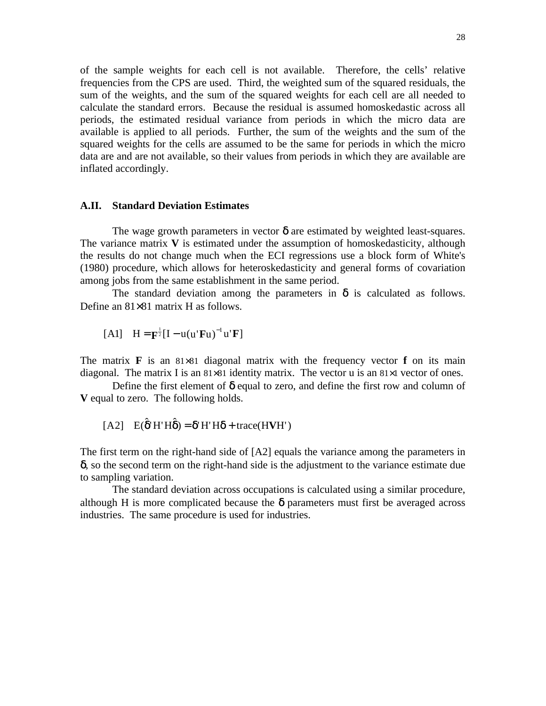of the sample weights for each cell is not available. Therefore, the cells' relative frequencies from the CPS are used. Third, the weighted sum of the squared residuals, the sum of the weights, and the sum of the squared weights for each cell are all needed to calculate the standard errors. Because the residual is assumed homoskedastic across all periods, the estimated residual variance from periods in which the micro data are available is applied to all periods. Further, the sum of the weights and the sum of the squared weights for the cells are assumed to be the same for periods in which the micro data are and are not available, so their values from periods in which they are available are inflated accordingly.

#### **A.II. Standard Deviation Estimates**

The wage growth parameters in vector  $\delta$  are estimated by weighted least-squares. The variance matrix  $V$  is estimated under the assumption of homoskedasticity, although the results do not change much when the ECI regressions use a block form of White's (1980) procedure, which allows for heteroskedasticity and general forms of covariation among jobs from the same establishment in the same period.

The standard deviation among the parameters in  $\delta$  is calculated as follows. Define an 81×81 matrix H as follows.

$$
[A1] \quad H = \mathbf{F}^{\frac{1}{2}}[I - u(u'\mathbf{F}u)^{-1}u'\mathbf{F}]
$$

The matrix **F** is an  $81\times81$  diagonal matrix with the frequency vector **f** on its main diagonal. The matrix I is an 81×81 identity matrix. The vector u is an 81×1 vector of ones.

Define the first element of  $\delta$  equal to zero, and define the first row and column of **V** equal to zero. The following holds.

$$
[A2] \quad E(\hat{\delta}^{\prime} H^{\prime} H \hat{\delta}) = \delta^{\prime} H^{\prime} H \delta + \text{trace}(H V H^{\prime})
$$

The first term on the right-hand side of [A2] equals the variance among the parameters in δ, so the second term on the right-hand side is the adjustment to the variance estimate due to sampling variation.

The standard deviation across occupations is calculated using a similar procedure, although H is more complicated because the  $\delta$  parameters must first be averaged across industries. The same procedure is used for industries.